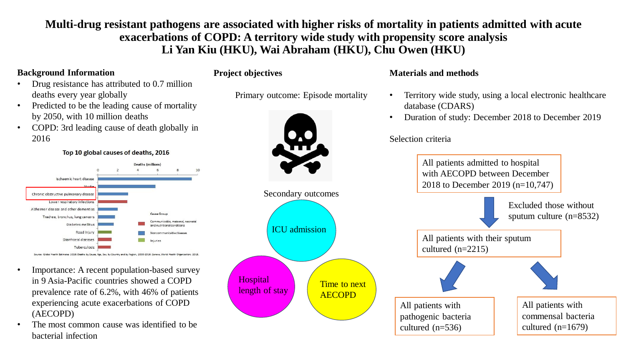**Multi-drug resistant pathogens are associated with higher risks of mortality in patients admitted with acute exacerbations of COPD: A territory wide study with propensity score analysis Li Yan Kiu (HKU), Wai Abraham (HKU), Chu Owen (HKU)**

# **Background Information**

• Drug resistance has attributed to 0.7 million deaths every year globally

Predicted to be the leading cause of mortality by 2050, with 10 million deaths

• COPD: 3rd leading cause of death globally in 2016

Top 10 global causes of deaths, 2016

**Deaths (millions)** Ischaemic heart disease Chronic obstructive pulmonary disease ower respiratory infections Alzheimer disease and other dementias Trachea, bronchus, lung cancers inicable maternal neonata Diabetes mellitus Road injury nunicable disease Diarrhoeal diseases Tuberculosis .<br>Global Health Estimates 2016: Deaths by Cause, Age, Sex, by Country and by Region, 2000-2016. Geneva, World Health Orga

- Importance: A recent population-based survey in 9 Asia-Pacific countries showed a COPD prevalence rate of 6.2%, with 46% of patients experiencing acute exacerbations of COPD (AECOPD)
- The most common cause was identified to be bacterial infection

**Project objectives**

Primary outcome: Episode mortality



## **Materials and methods**

- Territory wide study, using a local electronic healthcare database (CDARS)
- Duration of study: December 2018 to December 2019

Selection criteria

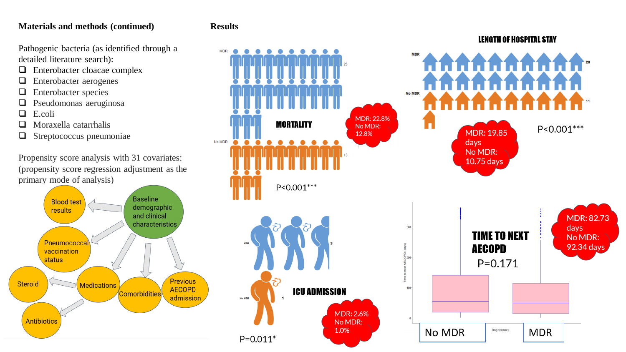### **Materials and methods (continued)**

Pathogenic bacteria (as identified through a detailed literature search):

- ❑ Enterobacter cloacae complex
- ❑ Enterobacter aerogenes
- ❑ Enterobacter species
- ❑ Pseudomonas aeruginosa
- ❑ E.coli
- ❑ Moraxella catarrhalis
- ❑ Streptococcus pneumoniae

Propensity score analysis with 31 covariates: (propensity score regression adjustment as the primary mode of analysis)



#### **Results**